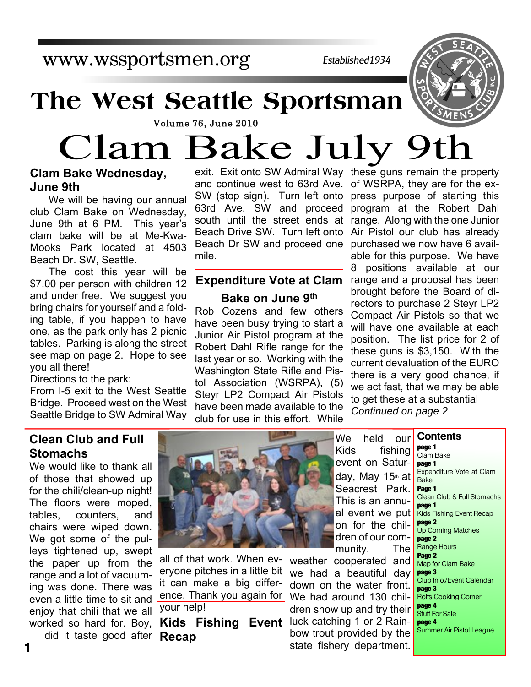www.wssportsmen.org

*Established1934*

## **The West Seattle Sportsman**



# Clam Bake July 9th

#### **Clam Bake Wednesday, June 9th**

We will be having our annual club Clam Bake on Wednesday, June 9th at 6 PM. This year's clam bake will be at Me-Kwa-Mooks Park located at 4503 Beach Dr. SW, Seattle.

The cost this year will be \$7.00 per person with children 12 and under free. We suggest you bring chairs for yourself and a folding table, if you happen to have one, as the park only has 2 picnic tables. Parking is along the street see map on page 2. Hope to see you all there!

Directions to the park:

From I-5 exit to the West Seattle Bridge. Proceed west on the West Seattle Bridge to SW Admiral Way

exit. Exit onto SW Admiral Way these guns remain the property and continue west to 63rd Ave. of WSRPA, they are for the ex-SW (stop sign). Turn left onto press purpose of starting this 63rd Ave. SW and proceed program at the Robert Dahl south until the street ends at range. Along with the one Junior Beach Drive SW. Turn left onto Air Pistol our club has already Beach Dr SW and proceed one purchased we now have 6 availmile.

### **Expenditure Vote at Clam**

**Bake on June 9th**

Rob Cozens and few others have been busy trying to start a Junior Air Pistol program at the Robert Dahl Rifle range for the last year or so. Working with the Washington State Rifle and Pistol Association (WSRPA), (5) Steyr LP2 Compact Air Pistols have been made available to the club for use in this effort. While

able for this purpose. We have 8 positions available at our range and a proposal has been brought before the Board of directors to purchase 2 Steyr LP2 Compact Air Pistols so that we will have one available at each position. The list price for 2 of these guns is \$3,150. With the current devaluation of the EURO there is a very good chance, if we act fast, that we may be able to get these at a substantial *Continued on page 2*

#### **Clean Club and Full Stomachs**

We would like to thank all of those that showed up for the chili/clean-up night! The floors were moped, tables, counters, and chairs were wiped down. We got some of the pulleys tightened up, swept the paper up from the range and a lot of vacuuming was done. There was even a little time to sit and enjoy that chili that we all worked so hard for. Boy,

did it taste good after



all of that work. When everyone pitches in a little bit it can make a big difference. Thank you again for We had around 130 chilyour help!

**Recap**

We held our Kids fishing event on Saturday, May 15th at Seacrest Park. This is an annual event we put on for the children of our community. The

**Kids Fishing Event** luck catching 1 or 2 Rainweather cooperated and we had a beautiful day down on the water front. dren show up and try their bow trout provided by the state fishery department.

**Contents page 1** Clam Bake **page 1** Expenditure Vote at Clam Bake **Page 1** Clean Club & Full Stomachs **page 1** Kids Fishing Event Recap **page 2** Up Coming Matches **page 2** Range Hours **Page 2** Map for Clam Bake **page 3** Club Info./Event Calendar **page 3** Rolfs Cooking Corner **page 4** Stuff For Sale **page 4** Summer Air Pistol League

**1**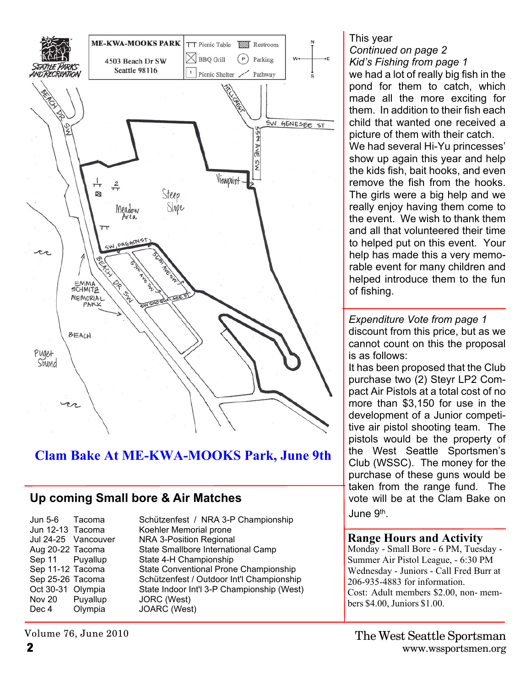

#### **Clam Bake At ME-KWA-MOOKS Park, June 9th**

#### **Up coming Small bore & Air Matches**

Nov 20 Puyallup JORC (West) Dec 4 Olympia JOARC (West)

Jun 5-6 Tacoma Schützenfest / NRA 3-P Championship Jun 12-13 Tacoma Koehler Memorial prone Jul 24-25 Vancouver NRA 3-Position Regional Aug 20-22 Tacoma State Smallbore International Camp Sep 11 Puyallup State 4-H Championship Sep 11-12 Tacoma State Conventional Prone Championship Sep 25-26 Tacoma Schützenfest / Outdoor Int'l Championship Oct 30-31 Olympia State Indoor Int'l 3-P Championship (West) This year *Continued on page 2 Kid's Fishing from page 1* we had a lot of really big fish in the pond for them to catch, which made all the more exciting for them. In addition to their fish each child that wanted one received a picture of them with their catch. We had several Hi-Yu princesses' show up again this year and help the kids fish, bait hooks, and even remove the fish from the hooks. The girls were a big help and we really enjoy having them come to the event. We wish to thank them and all that volunteered their time to helped put on this event. Your help has made this a very memorable event for many children and helped introduce them to the fun of fishing.

*Expenditure Vote from page 1* discount from this price, but as we cannot count on this the proposal is as follows:

It has been proposed that the Club purchase two (2) Steyr LP2 Compact Air Pistols at a total cost of no more than \$3,150 for use in the development of a Junior competitive air pistol shooting team. The pistols would be the property of the West Seattle Sportsmen's Club (WSSC). The money for the purchase of these guns would be taken from the range fund. The vote will be at the Clam Bake on June 9<sup>th</sup>.

#### **Range Hours and Activity**

Monday - Small Bore - 6 PM, Tuesday - Summer Air Pistol League, - 6:30 PM Wednesday - Juniors - Call Fred Burr at 206-935-4883 for information. Cost: Adult members \$2.00, non- members \$4.00, Juniors \$1.00.

Volume 76, June 2010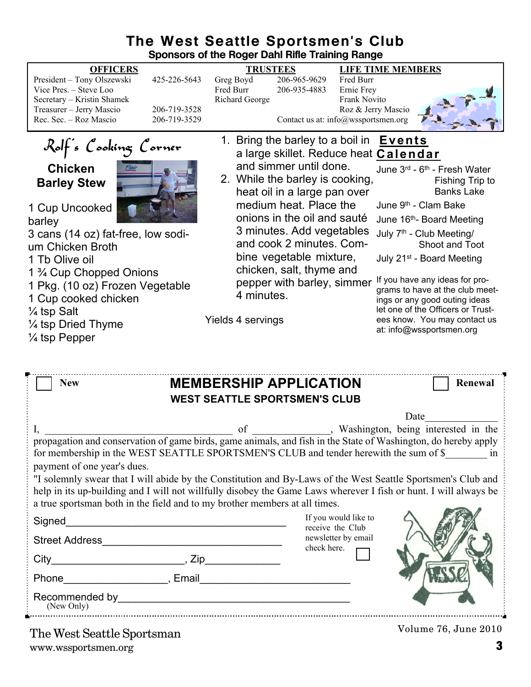#### **The West Seattle Sportsmen's Club Sponsors of the Roger Dahl Rifle Training Range**

| <b>OFFICERS</b>                                                  |              | <b>TRUSTEES</b>       |                                     |                     | <b>LIFE TIME MEMBERS</b>             |                                          |
|------------------------------------------------------------------|--------------|-----------------------|-------------------------------------|---------------------|--------------------------------------|------------------------------------------|
| President - Tony Olszewski                                       | 425-226-5643 | Greg Boyd             | 206-965-9629                        | Fred Burr           |                                      |                                          |
| Vice Pres. – Steve Loo                                           |              | Fred Burr             | 206-935-4883                        | Ernie Frey          |                                      |                                          |
| Secretary - Kristin Shamek                                       |              | <b>Richard George</b> |                                     | <b>Frank Novito</b> |                                      |                                          |
| Treasurer - Jerry Mascio                                         | 206-719-3528 |                       |                                     | Roz & Jerry Mascio  |                                      |                                          |
| Rec. Sec. - Roz Mascio                                           | 206-719-3529 |                       | Contact us at: info@wssportsmen.org |                     |                                      |                                          |
|                                                                  |              |                       | 1. Bring the barley to a boil in    |                     | <b>Events</b>                        |                                          |
| Rolf's Cooking Corner<br>a large skillet. Reduce heat Calendar   |              |                       |                                     |                     |                                      |                                          |
| <b>Chicken</b>                                                   |              |                       | and simmer until done.              |                     |                                      | June 3rd - 6 <sup>th</sup> - Fresh Water |
|                                                                  |              |                       | 2. While the barley is cooking,     |                     |                                      | Fishing Trip to                          |
| <b>Barley Stew</b>                                               |              |                       | heat oil in a large pan over        |                     |                                      | <b>Banks Lake</b>                        |
|                                                                  |              |                       |                                     |                     |                                      |                                          |
| 1 Cup Uncooked                                                   |              |                       | medium heat. Place the              |                     | June 9 <sup>th</sup> - Clam Bake     |                                          |
| barley<br>3 cans (14 oz) fat-free, low sodi-<br>um Chicken Broth |              |                       | onions in the oil and sauté         |                     |                                      | June 16th- Board Meeting                 |
|                                                                  |              |                       | 3 minutes. Add vegetables           |                     | July 7 <sup>th</sup> - Club Meeting/ |                                          |
|                                                                  |              |                       | and cook 2 minutes. Com-            |                     |                                      | Shoot and Toot                           |
|                                                                  |              |                       | bine vegetable mixture,             |                     |                                      | July 21 <sup>st</sup> - Board Meeting    |
| 1 Tb Olive oil                                                   |              |                       |                                     |                     |                                      |                                          |
| 1 <sup>3</sup> / <sub>4</sub> Cup Chopped Onions                 |              |                       | chicken, salt, thyme and            |                     |                                      | If you have any ideas for pro-           |
| 1 Pkg. (10 oz) Frozen Vegetable                                  |              |                       | pepper with barley, simmer          |                     |                                      | grams to have at the club meet-          |
| 1 Cup cooked chicken                                             |              | 4 minutes.            |                                     |                     |                                      | ings or any good outing ideas            |
| $\frac{1}{4}$ tsp Salt                                           |              |                       |                                     |                     |                                      | let one of the Officers or Trust-        |
|                                                                  |              | Yields 4 servings     |                                     |                     |                                      | ees know. You may contact us             |
| $\frac{1}{4}$ tsp Dried Thyme                                    |              |                       |                                     |                     |                                      | at: info@wssportsmen.org                 |
| $\frac{1}{4}$ tsp Pepper                                         |              |                       |                                     |                     |                                      |                                          |
|                                                                  |              |                       |                                     |                     |                                      |                                          |
|                                                                  |              |                       |                                     |                     |                                      |                                          |

| <b>New</b>                                                                                                                                                                                                                                                                                                     | <b>MEMBERSHIP APPLICATION</b><br>Renewal<br><b>WEST SEATTLE SPORTSMEN'S CLUB</b>                                                                                                                              |  |  |  |  |  |
|----------------------------------------------------------------------------------------------------------------------------------------------------------------------------------------------------------------------------------------------------------------------------------------------------------------|---------------------------------------------------------------------------------------------------------------------------------------------------------------------------------------------------------------|--|--|--|--|--|
|                                                                                                                                                                                                                                                                                                                | Date                                                                                                                                                                                                          |  |  |  |  |  |
| payment of one year's dues.                                                                                                                                                                                                                                                                                    | I, propagation and conservation of game birds, game animals, and fish in the State of Washington, do hereby apply<br>for membership in the WEST SEATTLE SPORTSMEN'S CLUB and tender herewith the sum of \$ in |  |  |  |  |  |
| "I solemnly swear that I will abide by the Constitution and By-Laws of the West Seattle Sportsmen's Club and<br>help in its up-building and I will not willfully disobey the Game Laws wherever I fish or hunt. I will always be<br>a true sportsman both in the field and to my brother members at all times. |                                                                                                                                                                                                               |  |  |  |  |  |
| Signed                                                                                                                                                                                                                                                                                                         | If you would like to                                                                                                                                                                                          |  |  |  |  |  |
|                                                                                                                                                                                                                                                                                                                | receive the Club<br>newsletter by email<br>check here.                                                                                                                                                        |  |  |  |  |  |
| $City$ $Zip$                                                                                                                                                                                                                                                                                                   |                                                                                                                                                                                                               |  |  |  |  |  |
| Phone , Email                                                                                                                                                                                                                                                                                                  |                                                                                                                                                                                                               |  |  |  |  |  |
| (New Only)                                                                                                                                                                                                                                                                                                     |                                                                                                                                                                                                               |  |  |  |  |  |
|                                                                                                                                                                                                                                                                                                                | $Volume\$ $76$ $I$ ung $2010$                                                                                                                                                                                 |  |  |  |  |  |

Volume 76, June 2010